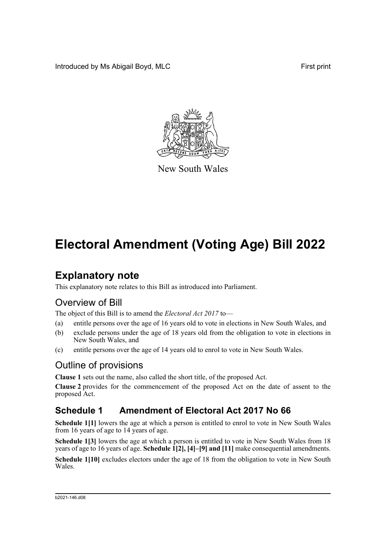Introduced by Ms Abigail Boyd, MLC **First print** 



New South Wales

## **Electoral Amendment (Voting Age) Bill 2022**

## **Explanatory note**

This explanatory note relates to this Bill as introduced into Parliament.

## Overview of Bill

The object of this Bill is to amend the *Electoral Act 2017* to—

- (a) entitle persons over the age of 16 years old to vote in elections in New South Wales, and
- (b) exclude persons under the age of 18 years old from the obligation to vote in elections in New South Wales, and
- (c) entitle persons over the age of 14 years old to enrol to vote in New South Wales.

### Outline of provisions

**Clause 1** sets out the name, also called the short title, of the proposed Act.

**Clause 2** provides for the commencement of the proposed Act on the date of assent to the proposed Act.

### **Schedule 1 Amendment of Electoral Act 2017 No 66**

**Schedule 1[1]** lowers the age at which a person is entitled to enrol to vote in New South Wales from 16 years of age to 14 years of age.

**Schedule 1[3]** lowers the age at which a person is entitled to vote in New South Wales from 18 years of age to 16 years of age. **Schedule 1[2], [4]–[9] and [11]** make consequential amendments.

**Schedule 1[10]** excludes electors under the age of 18 from the obligation to vote in New South Wales.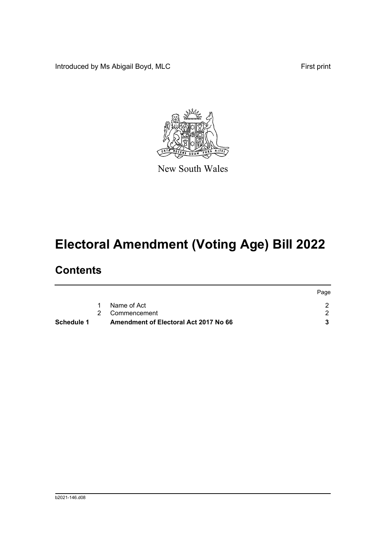Introduced by Ms Abigail Boyd, MLC **First print** 



New South Wales

# **Electoral Amendment (Voting Age) Bill 2022**

## **Contents**

|            |                                       | Page |
|------------|---------------------------------------|------|
|            | Name of Act                           |      |
|            | 2 Commencement                        |      |
| Schedule 1 | Amendment of Electoral Act 2017 No 66 |      |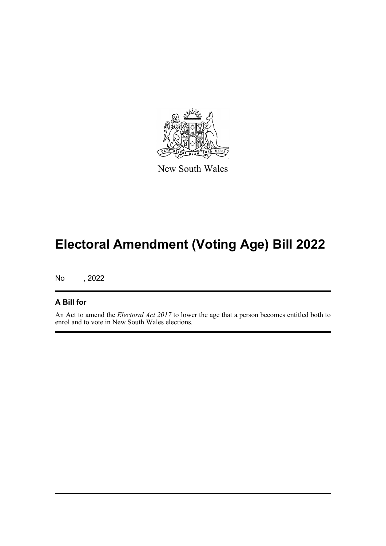

New South Wales

## **Electoral Amendment (Voting Age) Bill 2022**

No , 2022

#### **A Bill for**

An Act to amend the *Electoral Act 2017* to lower the age that a person becomes entitled both to enrol and to vote in New South Wales elections.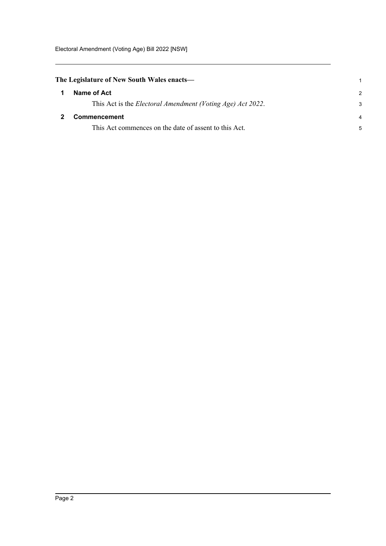<span id="page-3-1"></span><span id="page-3-0"></span>

| The Legislature of New South Wales enacts— |                                                                    |               |
|--------------------------------------------|--------------------------------------------------------------------|---------------|
|                                            | Name of Act                                                        | $\mathcal{P}$ |
|                                            | This Act is the <i>Electoral Amendment (Voting Age) Act 2022</i> . | 3             |
|                                            | <b>Commencement</b>                                                | 4             |
|                                            | This Act commences on the date of assent to this Act.              | 5             |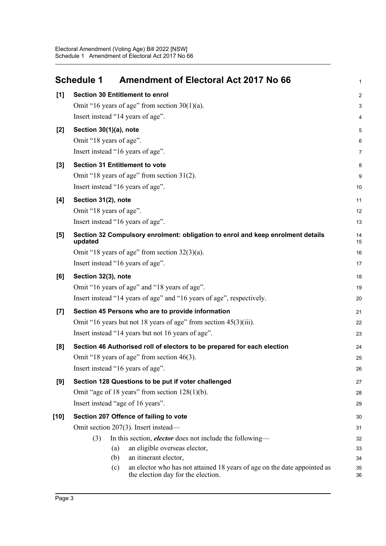<span id="page-4-0"></span>

|        | <b>Amendment of Electoral Act 2017 No 66</b><br><b>Schedule 1</b>                          | 1              |
|--------|--------------------------------------------------------------------------------------------|----------------|
| $[1]$  | <b>Section 30 Entitlement to enrol</b>                                                     | $\overline{c}$ |
|        | Omit "16 years of age" from section $30(1)(a)$ .                                           | 3              |
|        | Insert instead "14 years of age".                                                          | 4              |
| $[2]$  | Section 30(1)(a), note                                                                     | 5              |
|        | Omit "18 years of age".                                                                    | 6              |
|        | Insert instead "16 years of age".                                                          | 7              |
| $[3]$  | <b>Section 31 Entitlement to vote</b>                                                      | 8              |
|        | Omit "18 years of age" from section 31(2).                                                 | 9              |
|        | Insert instead "16 years of age".                                                          | 10             |
| [4]    | Section 31(2), note                                                                        | 11             |
|        | Omit "18 years of age".                                                                    | 12             |
|        | Insert instead "16 years of age".                                                          | 13             |
| [5]    | Section 32 Compulsory enrolment: obligation to enrol and keep enrolment details<br>updated | 14<br>15       |
|        | Omit "18 years of age" from section $32(3)(a)$ .                                           | 16             |
|        | Insert instead "16 years of age".                                                          | 17             |
| [6]    | Section 32(3), note                                                                        | 18             |
|        | Omit "16 years of age" and "18 years of age".                                              | 19             |
|        | Insert instead "14 years of age" and "16 years of age", respectively.                      | 20             |
| $[7]$  | Section 45 Persons who are to provide information                                          | 21             |
|        | Omit "16 years but not 18 years of age" from section 45(3)(iii).                           | 22             |
|        | Insert instead "14 years but not 16 years of age".                                         | 23             |
| [8]    | Section 46 Authorised roll of electors to be prepared for each election                    | 24             |
|        | Omit "18 years of age" from section 46(3).                                                 | 25             |
|        | Insert instead "16 years of age".                                                          | 26             |
| [9]    | Section 128 Questions to be put if voter challenged                                        | 27             |
|        | Omit "age of 18 years" from section $128(1)(b)$ .                                          | 28             |
|        | Insert instead "age of 16 years".                                                          | 29             |
| $[10]$ | Section 207 Offence of failing to vote                                                     | 30             |
|        | Omit section 207(3). Insert instead—                                                       | 31             |
|        | In this section, <i>elector</i> does not include the following—<br>(3)                     | 32             |
|        | an eligible overseas elector,<br>(a)<br>an itinerant elector,<br>(b)                       | 33             |
|        | an elector who has not attained 18 years of age on the date appointed as<br>(c)            | 34<br>35       |
|        | the election day for the election.                                                         | 36             |